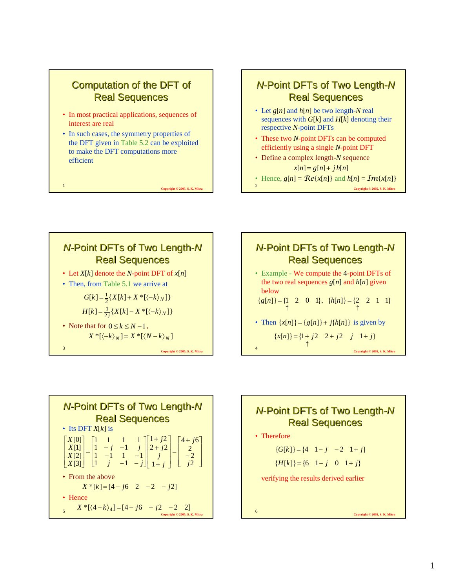

### *N*-Point DFTs of Two Length-N **Real Sequences**

- Let *g*[*n*] and *h*[*n*] be two length-*N* real sequences with  $G[k]$  and  $H[k]$  denoting their respective *N*-point DFTs
- These two *N*-point DFTs can be computed efficiently using a single *N*-point DFT
- Define a complex length-*N* sequence  $x[n] = g[n] + jh[n]$
- Hence,  $g[n] = \mathbb{R}e\{x[n]\}$  and  $h[n] = \mathbb{R}e\{x[n]\}$

<sup>2</sup> **Copyright © 2005, S. K. Mitra**









• Therefore

 ${G[k]} = {4 \quad 1-j \quad -2 \quad 1+j}$ 

 ${H[k]} = {6 \quad 1 - j \quad 0 \quad 1 + j}$ 

verifying the results derived earlier

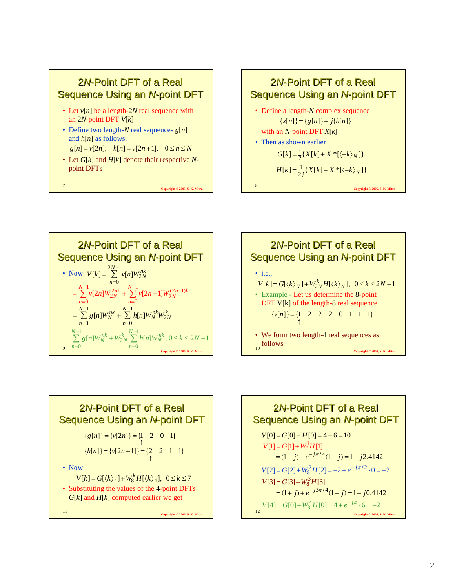









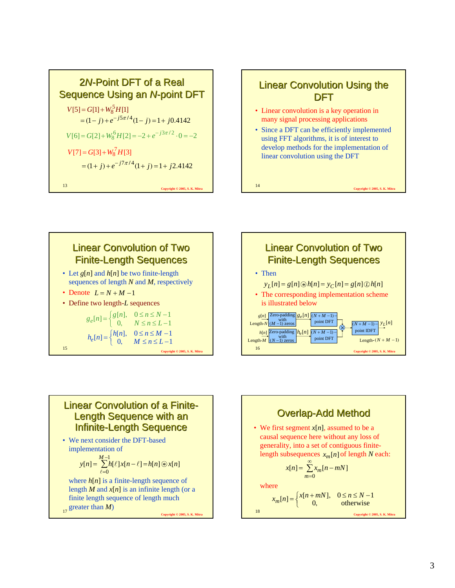







#### Linear Convolution of a Finite-Length Sequence with an Infinite-Length Sequence

• We next consider the DFT-based implementation of where  $h[n]$  is a finite-length sequence of length  $M$  and  $x[n]$  is an infinite length (or a  $y[n] = \sum_{n=0}^{M-1} h[\ell] x[n-\ell] = h[n] \otimes x[n]$ =  $=\sum_{n=0}^{M-1} h[\ell] x[n-\ell] =$  $\ell = 0$  $\ell$ ]  $x[n-\ell] = h[n]$  (\*

17  $\text{greater than } M$ )<br>Copyright © 2005, S. K. Mitra finite length sequence of length much

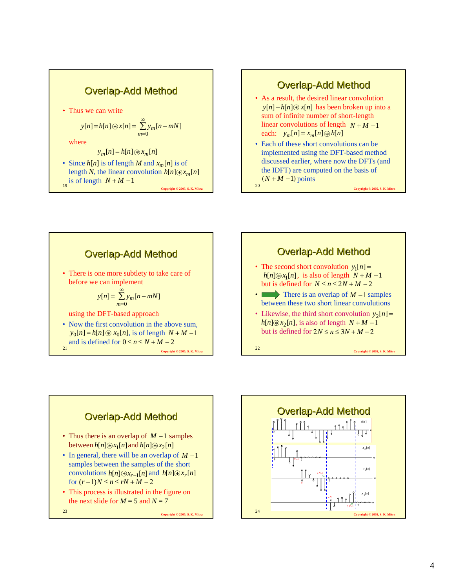



<sup>21</sup> **Copyright © 2005, S. K. Mitra Overlap-Add Method** • There is one more subtlety to take care of before we can implement using the DFT-based approach • Now the first convolution in the above sum,  $y_0[n] = h[n] \otimes x_0[n]$ , is of length  $N + M - 1$ and is defined for  $0 \le n \le N + M - 2$ ∑ ∞ =  $= \sum y_m [n$  $y[n] = \sum_{m=0}^{n} y_m[n-mN]$ 





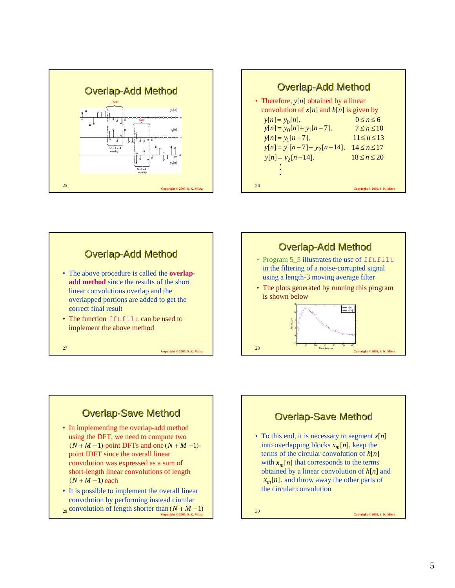





## **Overlap-Save Method**

- In implementing the overlap-add method using the DFT, we need to compute two  $(N + M - 1)$ -point DFTs and one  $(N + M - 1)$ point IDFT since the overall linear convolution was expressed as a sum of short-length linear convolutions of length  $(N + M - 1)$  each
- 29 **CONVOLUTION** Of length shorter than  $(N + M 1)$ <br>Convient © 2005, S. K. Mitra • It is possible to implement the overall linear convolution by performing instead circular



(*<sup>N</sup>* <sup>+</sup> *<sup>M</sup>* <sup>−</sup>1) <sup>30</sup> **Copyright © 2005, S. K. Mitra**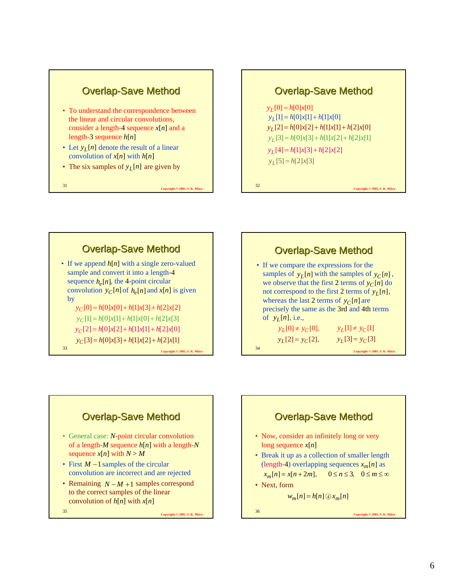

- To understand the correspondence between the linear and circular convolutions, consider a length-4 sequence  $x[n]$  and a length-3 sequence *h*[*n*]
- Let  $y_L[n]$  denote the result of a linear convolution of  $x[n]$  with  $h[n]$
- The six samples of  $y_L[n]$  are given by

<sup>31</sup> **Copyright © 2005, S. K. Mitra**

#### **Overlap-Save Method**

 $y_L[0] = h[0]x[0]$  $y_L[1] = h[0]x[1] + h[1]x[0]$  $y_L[2] = h[0]x[2] + h[1]x[1] + h[2]x[0]$  $y_L$ [3] =  $h$ [0]*x*[3] +  $h$ [1]*x*[2] +  $h$ [2]*x*[1]  $y_L[4] = h[1]x[3] + h[2]x[2]$  $y_L[5] = h[2]x[3]$ 

#### <sup>32</sup> **Copyright © 2005, S. K. Mitra**



## **Overlap-Save Method**

• If we compare the expressions for the samples of  $y_L[n]$  with the samples of  $y_C[n]$ , we observe that the first 2 terms of  $y_C[n]$  do not correspond to the first 2 terms of  $y_L[n]$ , whereas the last 2 terms of  $y_C[n]$  are precisely the same as the 3rd and 4th terms of  $y_L[n]$ , i.e.,  $y_L[0] \neq y_C[0], \qquad y_L[1] \neq y_C[1]$ 

<sup>34</sup> **Copyright © 2005, S. K. Mitra**  $y_L[2] = y_C[2], \qquad y_L[3] = y_C[3]$ 

# **Overlap-Save Method** • General case: *N*-point circular convolution of a length-*M* sequence *h*[*n*] with a length-*N* sequence  $x[n]$  with  $N > M$ • First  $M-1$  samples of the circular convolution are incorrect and are rejected • Remaining  $N - M + 1$  samples correspond

to the correct samples of the linear convolution of *h*[*n*] with *x*[*n*]

<sup>35</sup> **Copyright © 2005, S. K. Mitra**

**Overlap-Save Method** 

- Now, consider an infinitely long or very long sequence *x*[*n*]
- Break it up as a collection of smaller length (length-4) overlapping sequences  $x_m[n]$  as *x<sub>m</sub>*[*n*] = *x*[*n* + 2*m*], 0 ≤ *n* ≤ 3, 0 ≤ *m* ≤ ∞
- Next, form

 $w_m[n] = h[n] \oplus x_m[n]$ 

<sup>36</sup> **Copyright © 2005, S. K. Mitra**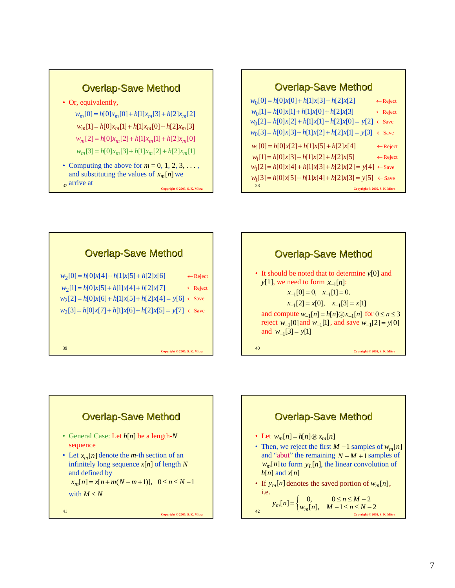#### <sup>38</sup> **Copyright © 2005, S. K. Mitra Overlap-Save Method**  $w_0[0] = h[0]x[0] + h[1]x[3] + h[2]x[2]$  $w_0[1] = h[0]x[1] + h[1]x[0] + h[2]x[3]$  $w_0[2] = h[0]x[2] + h[1]x[1] + h[2]x[0] = y[2] \leftarrow$ Save  $w_0[3] = h[0]x[3] + h[1]x[2] + h[2]x[1] = y[3] \leftarrow$ Save ←Reject ←Reject  $w_1[0] = h[0]x[2] + h[1]x[5] + h[2]x[4]$  $w_1[1] = h[0]x[3] + h[1]x[2] + h[2]x[5]$  $w_1[2] = h[0]x[4] + h[1]x[3] + h[2]x[2] = y[4] \leftarrow$ Save  $w_1[3] = h[0]x[5] + h[1]x[4] + h[2]x[3] = y[5] \leftarrow$ Save ←Reject ←Reject

# <sup>39</sup> **Copyright © 2005, S. K. Mitra Overlap-Save Method**  $w_2[0] = h[0]x[4] + h[1]x[5] + h[2]x[6] \leftarrow$  Reject  $w_2[1] = h[0]x[5] + h[1]x[4] + h[2]x[7] \leftarrow$  Reject  $w_2[2] = h[0]x[6] + h[1]x[5] + h[2]x[4] = y[6] \leftarrow$ Save  $w_2[3] = h[0]x[7] + h[1]x[6] + h[2]x[5] = y[7] \leftarrow$ Save

**Overlap-Save Method** 

 $w_m[0] = h[0]x_m[0] + h[1]x_m[3] + h[2]x_m[2]$  $w_m[1] = h[0]x_m[1] + h[1]x_m[0] + h[2]x_m[3]$  $w_m[2] = h[0]x_m[2] + h[1]x_m[1] + h[2]x_m[0]$  $w_m[3] = h[0]x_m[3] + h[1]x_m[2] + h[2]x_m[1]$ 

• Computing the above for  $m = 0, 1, 2, 3, \ldots$ , and substituting the values of  $x_m[n]$  we

• Or, equivalently,

 $37$  arrive at

<sup>37</sup> **Copyright © 2005, S. K. Mitra**

# **Overlap-Save Method** • It should be noted that to determine *y*[0] and

*y*[1], we need to form  $x_{-1}[n]$ : and compute  $w_{-1}[n] = h[n] ⊕ x_{-1}[n]$  for  $0 \le n \le 3$ reject  $w_{-1}[0]$  and  $w_{-1}[1]$ , and save  $w_{-1}[2] = y[0]$ and  $w_{-1}[3] = y[1]$  $x_{-1}[0] = 0, \quad x_{-1}[1] = 0,$  $[x_{-1}[2] = x[0], \quad x_{-1}[3] = x[1]$ 

<sup>40</sup> **Copyright © 2005, S. K. Mitra**

# <sup>41</sup> **Copyright © 2005, S. K. Mitra Overlap-Save Method** • General Case: Let *h*[*n*] be a length-*N* sequence • Let  $x_m[n]$  denote the *m*-th section of an infinitely long sequence  $x[n]$  of length  $N$ and defined by with  $M < N$ *x<sub>m</sub>*[*n*] = *x*[*n* + *m*(*N* − *m* + 1)], 0 ≤ *n* ≤ *N* − 1